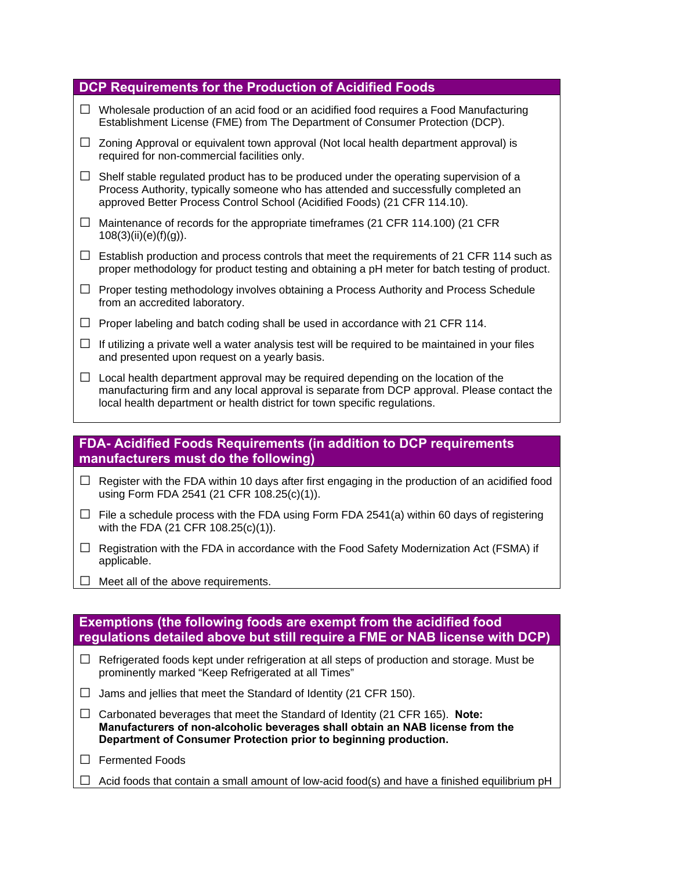| <b>DCP Requirements for the Production of Acidified Foods</b> |                                                                                                                                                                                                                                                               |  |
|---------------------------------------------------------------|---------------------------------------------------------------------------------------------------------------------------------------------------------------------------------------------------------------------------------------------------------------|--|
| $\perp$                                                       | Wholesale production of an acid food or an acidified food requires a Food Manufacturing<br>Establishment License (FME) from The Department of Consumer Protection (DCP).                                                                                      |  |
| $\Box$                                                        | Zoning Approval or equivalent town approval (Not local health department approval) is<br>required for non-commercial facilities only.                                                                                                                         |  |
| $\Box$                                                        | Shelf stable regulated product has to be produced under the operating supervision of a<br>Process Authority, typically someone who has attended and successfully completed an<br>approved Better Process Control School (Acidified Foods) (21 CFR 114.10).    |  |
| $\Box$                                                        | Maintenance of records for the appropriate timeframes (21 CFR 114.100) (21 CFR<br>$108(3)(ii)(e)(f)(g)$ ).                                                                                                                                                    |  |
| $\Box$                                                        | Establish production and process controls that meet the requirements of 21 CFR 114 such as<br>proper methodology for product testing and obtaining a pH meter for batch testing of product.                                                                   |  |
| $\Box$                                                        | Proper testing methodology involves obtaining a Process Authority and Process Schedule<br>from an accredited laboratory.                                                                                                                                      |  |
|                                                               | Proper labeling and batch coding shall be used in accordance with 21 CFR 114.                                                                                                                                                                                 |  |
| $\Box$                                                        | If utilizing a private well a water analysis test will be required to be maintained in your files<br>and presented upon request on a yearly basis.                                                                                                            |  |
| $\Box$                                                        | Local health department approval may be required depending on the location of the<br>manufacturing firm and any local approval is separate from DCP approval. Please contact the<br>local health department or health district for town specific regulations. |  |
|                                                               |                                                                                                                                                                                                                                                               |  |

## **FDA- Acidified Foods Requirements (in addition to DCP requirements manufacturers must do the following)**

- **□** Register with the FDA within 10 days after first engaging in the production of an acidified food using Form FDA 2541 (21 CFR 108.25(c)(1)).
- $\Box$  File a schedule process with the FDA using Form FDA 2541(a) within 60 days of registering with the FDA (21 CFR 108.25(c)(1)).
- **□** Registration with the FDA in accordance with the Food Safety Modernization Act (FSMA) if applicable.
- **□** Meet all of the above requirements.

# **Exemptions (the following foods are exempt from the acidified food regulations detailed above but still require a FME or NAB license with DCP)**

- **□** Refrigerated foods kept under refrigeration at all steps of production and storage. Must be prominently marked "Keep Refrigerated at all Times"
- **□** Jams and jellies that meet the Standard of Identity (21 CFR 150).
- **□** Carbonated beverages that meet the Standard of Identity (21 CFR 165). **Note: Manufacturers of non-alcoholic beverages shall obtain an NAB license from the Department of Consumer Protection prior to beginning production.**
- **□** Fermented Foods
- **□** Acid foods that contain a small amount of low-acid food(s) and have a finished equilibrium pH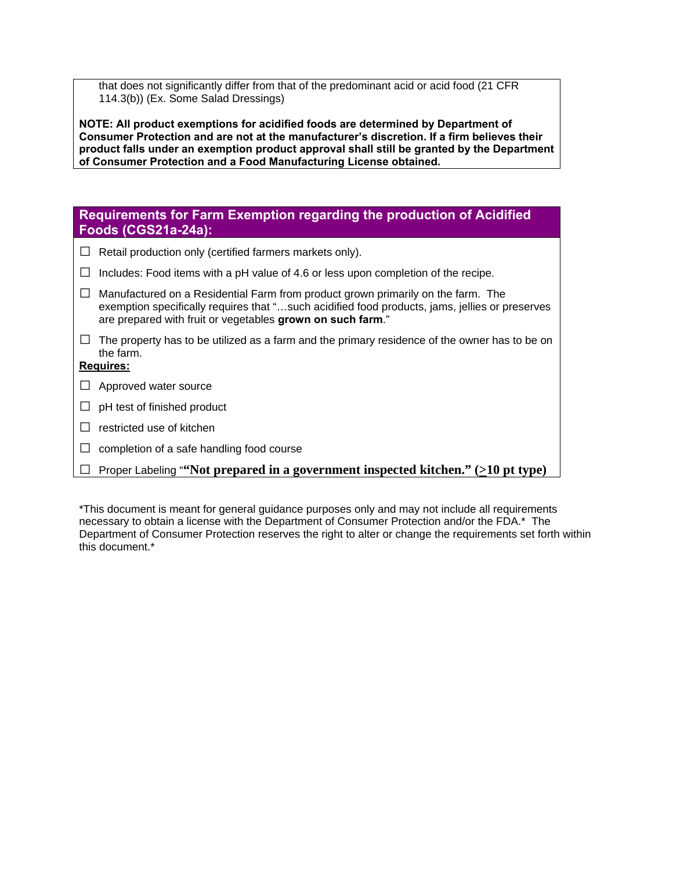that does not significantly differ from that of the predominant acid or acid food (21 CFR 114.3(b)) (Ex. Some Salad Dressings)

**NOTE: All product exemptions for acidified foods are determined by Department of Consumer Protection and are not at the manufacturer's discretion. If a firm believes their product falls under an exemption product approval shall still be granted by the Department of Consumer Protection and a Food Manufacturing License obtained.** 

## **Requirements for Farm Exemption regarding the production of Acidified Foods (CGS21a-24a):**

- **□** Retail production only (certified farmers markets only).
- **□** Includes: Food items with a pH value of 4.6 or less upon completion of the recipe.
- **□** Manufactured on a Residential Farm from product grown primarily on the farm. The exemption specifically requires that "…such acidified food products, jams, jellies or preserves are prepared with fruit or vegetables **grown on such farm**."
- **□** The property has to be utilized as a farm and the primary residence of the owner has to be on the farm.

#### **Requires:**

- **□** Approved water source
- **□** pH test of finished product
- **□** restricted use of kitchen
- **□** completion of a safe handling food course
- **□** Proper Labeling "**"Not prepared in a government inspected kitchen." (>10 pt type)**

\*This document is meant for general guidance purposes only and may not include all requirements necessary to obtain a license with the Department of Consumer Protection and/or the FDA.\* The Department of Consumer Protection reserves the right to alter or change the requirements set forth within this document.<sup>\*</sup>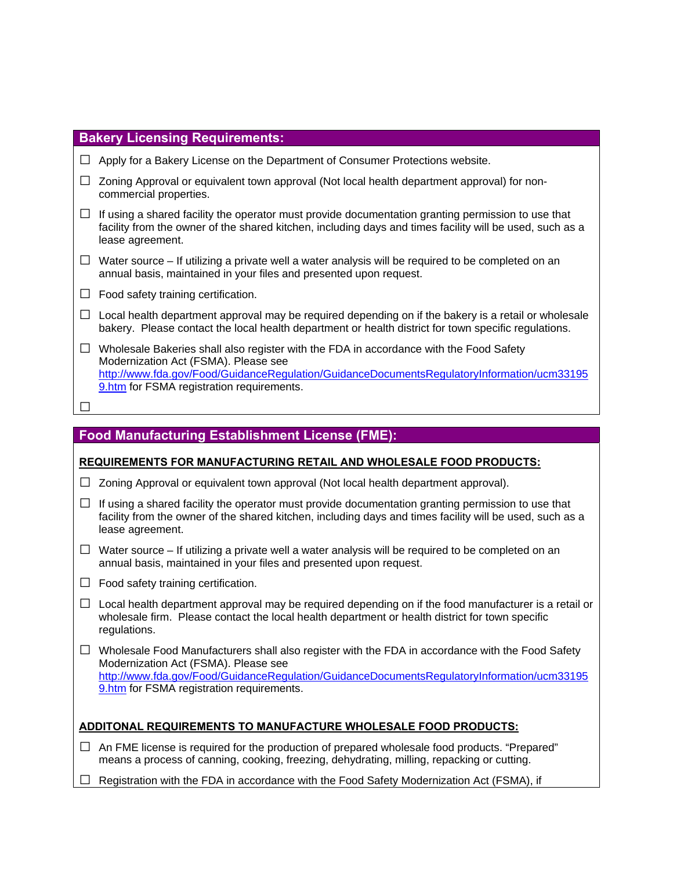| <b>Bakery Licensing Requirements:</b> |                                                                                                                                                                                                                                                                           |
|---------------------------------------|---------------------------------------------------------------------------------------------------------------------------------------------------------------------------------------------------------------------------------------------------------------------------|
| ⊔                                     | Apply for a Bakery License on the Department of Consumer Protections website.                                                                                                                                                                                             |
| $\Box$                                | Zoning Approval or equivalent town approval (Not local health department approval) for non-<br>commercial properties.                                                                                                                                                     |
| ⊔                                     | If using a shared facility the operator must provide documentation granting permission to use that<br>facility from the owner of the shared kitchen, including days and times facility will be used, such as a<br>lease agreement.                                        |
| $\Box$                                | Water source – If utilizing a private well a water analysis will be required to be completed on an<br>annual basis, maintained in your files and presented upon request.                                                                                                  |
| $\perp$                               | Food safety training certification.                                                                                                                                                                                                                                       |
| $\Box$                                | Local health department approval may be required depending on if the bakery is a retail or wholesale<br>bakery. Please contact the local health department or health district for town specific regulations.                                                              |
| ⊔                                     | Wholesale Bakeries shall also register with the FDA in accordance with the Food Safety<br>Modernization Act (FSMA). Please see<br>http://www.fda.gov/Food/GuidanceRegulation/GuidanceDocumentsRegulatoryInformation/ucm33195<br>9.htm for FSMA registration requirements. |
|                                       |                                                                                                                                                                                                                                                                           |
|                                       |                                                                                                                                                                                                                                                                           |

# **Food Manufacturing Establishment License (FME):**

#### **REQUIREMENTS FOR MANUFACTURING RETAIL AND WHOLESALE FOOD PRODUCTS:**

- **□** Zoning Approval or equivalent town approval (Not local health department approval).
- **□** If using a shared facility the operator must provide documentation granting permission to use that facility from the owner of the shared kitchen, including days and times facility will be used, such as a lease agreement.
- **□** Water source If utilizing a private well a water analysis will be required to be completed on an annual basis, maintained in your files and presented upon request.
- **□** Food safety training certification.
- **□** Local health department approval may be required depending on if the food manufacturer is a retail or wholesale firm. Please contact the local health department or health district for town specific regulations.
- **□** Wholesale Food Manufacturers shall also register with the FDA in accordance with the Food Safety Modernization Act (FSMA). Please see http://www.fda.gov/Food/GuidanceRegulation/GuidanceDocumentsRegulatoryInformation/ucm33195 9.htm for FSMA registration requirements.

#### **ADDITONAL REQUIREMENTS TO MANUFACTURE WHOLESALE FOOD PRODUCTS:**

- **□** An FME license is required for the production of prepared wholesale food products. "Prepared" means a process of canning, cooking, freezing, dehydrating, milling, repacking or cutting.
- **□** Registration with the FDA in accordance with the Food Safety Modernization Act (FSMA), if